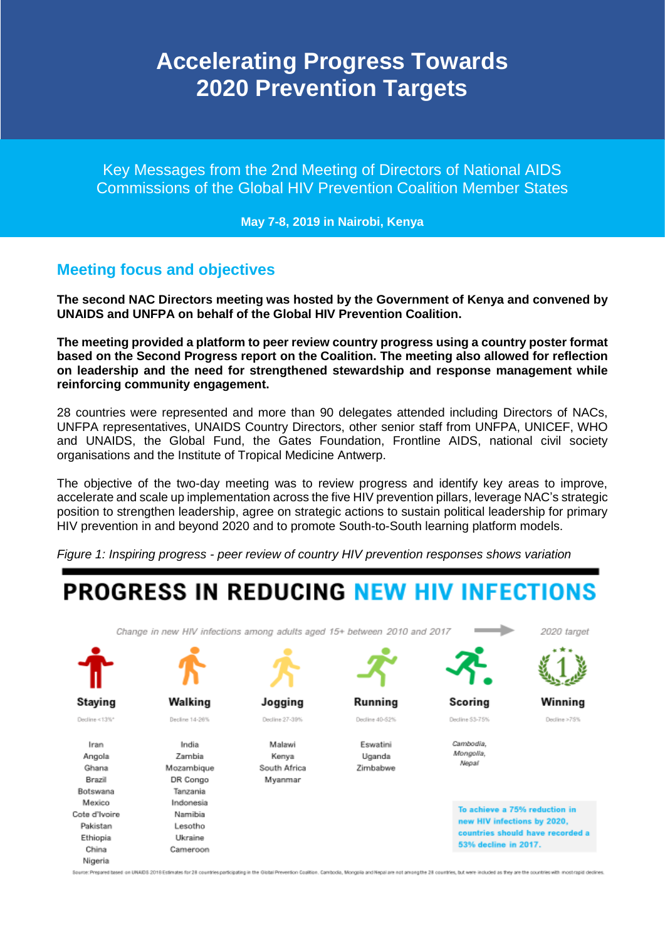## **Accelerating Progress Towards 2020 Prevention Targets**

Key Messages from the 2nd Meeting of Directors of National AIDS Commissions of the Global HIV Prevention Coalition Member States

**May 7-8, 2019 in Nairobi, Kenya**

### **Meeting focus and objectives**

**The second NAC Directors meeting was hosted by the Government of Kenya and convened by UNAIDS and UNFPA on behalf of the Global HIV Prevention Coalition.** 

**The meeting provided a platform to peer review country progress using a country poster format based on the Second Progress report on the Coalition. The meeting also allowed for reflection on leadership and the need for strengthened stewardship and response management while reinforcing community engagement.**

28 countries were represented and more than 90 delegates attended including Directors of NACs, UNFPA representatives, UNAIDS Country Directors, other senior staff from UNFPA, UNICEF, WHO and UNAIDS, the Global Fund, the Gates Foundation, Frontline AIDS, national civil society organisations and the Institute of Tropical Medicine Antwerp.

The objective of the two-day meeting was to review progress and identify key areas to improve, accelerate and scale up implementation across the five HIV prevention pillars, leverage NAC's strategic position to strengthen leadership, agree on strategic actions to sustain political leadership for primary HIV prevention in and beyond 2020 and to promote South-to-South learning platform models.

*Figure 1: Inspiring progress - peer review of country HIV prevention responses shows variation*

# **PROGRESS IN REDUCING NEW HIV INFECTIONS**

Change in new HIV infections among adults aged 15+ between 2010 and 2017



Scoring

Decline 53-75%

Cambodia

Mongolia.

Negal



Winning Decline >75%

India Iran Angola Zambia Ghana Mozambique DR Congo Brazil Botswana Tanzania Mexico Indonesia Cote d'Ivoire Namibia Pakistan Lesotho Ethiopia Ukraine China Cameroon Nigeria

Walking

Decline 14-26%

**Staying** 

Decline <13%

Jogging Decline 27-39%

Malawi Kenva South Africa Myanmar



Decline 40-52%

Eswatini Uganda Zimbabwe

To achieve a 75% reduction in

new HIV infections by 2020, countries should have recorded a 53% decline in 2017.

Source: Prepared tased on UNADS 2018 Estimates for 28 countries participating in the Global Prevention Coalition. Camboda, Mongola and Hepal are not among the 28 countries, but were included as they are the countries with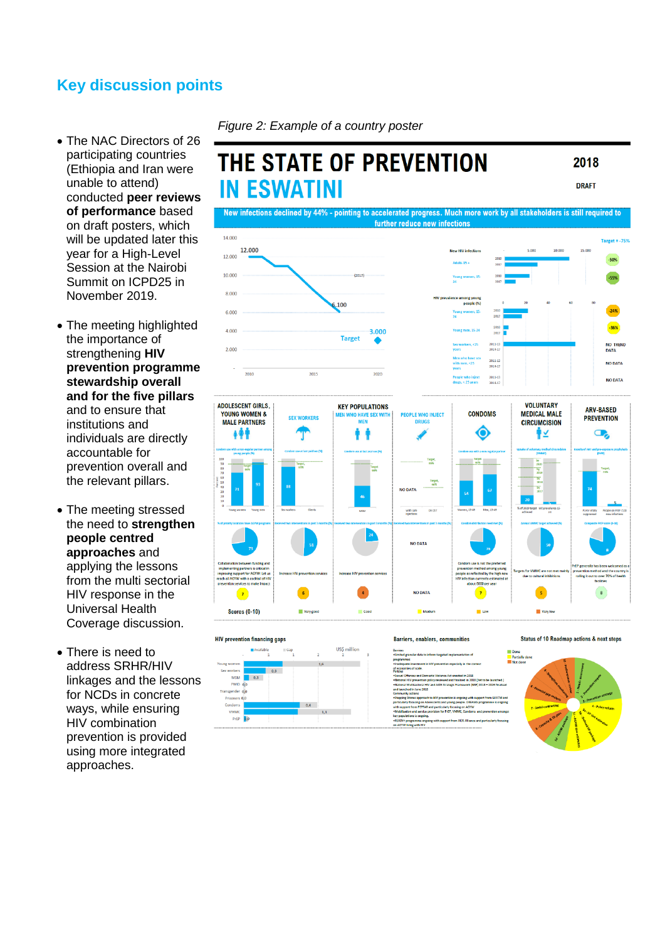### **Key discussion points**

- The NAC Directors of 26 participating countries (Ethiopia and Iran were unable to attend) conducted **peer reviews of performance** based on draft posters, which will be updated later this year for a High-Level Session at the Nairobi Summit on ICPD25 in November 2019.
- The meeting highlighted the importance of strengthening **HIV prevention programme stewardship overall and for the five pillars**  and to ensure that institutions and individuals are directly accountable for prevention overall and the relevant pillars.
- The meeting stressed the need to **strengthen people centred approaches** and applying the lessons from the multi sectorial HIV response in the Universal Health Coverage discussion.
- There is need to address SRHR/HIV linkages and the lessons for NCDs in concrete ways, while ensuring HIV combination prevention is provided using more integrated approaches.

*Figure 2: Example of a country poster*

#### THE STATE OF PREVENTION 2018 **IN ESWATINI DRAFT** New infections declined by 44% - pointing to accelerated progress. Much more work by all stakeholders is still required to further reduce new infections 14.000 **Target - .759** 12,000  $12.000$  $10.000$  $8.000$  $.100$ 6.000  $4000$  $3.006$ **Target** NO TREND<br>DATA  $2.000$ NO DATA 2015 2011-13 NO DATA **ADOLESCENT GIRLS, VOLUNTARY KEY POPULATIONS ARV-RASED** YOUNG WOMEN & **CONDOMS MEDICAL MALE NJFCT SEX WORKERS PREVENTION MAI F PARTNERS CIRCUMCISION** ◉ Ħ ∲⊻  $\mathbf{\Omega}$ 小小 Targe<br>2204 with safe NO DATA  $\bullet$  $\overline{\phantom{a}}$ **NO DATA**  $\mathbf{s}$  $\mathbf{r}$  $\mathbf{z}$ **Scores (0-10)** Very got  $M$ edi  $\blacksquare$ Very low





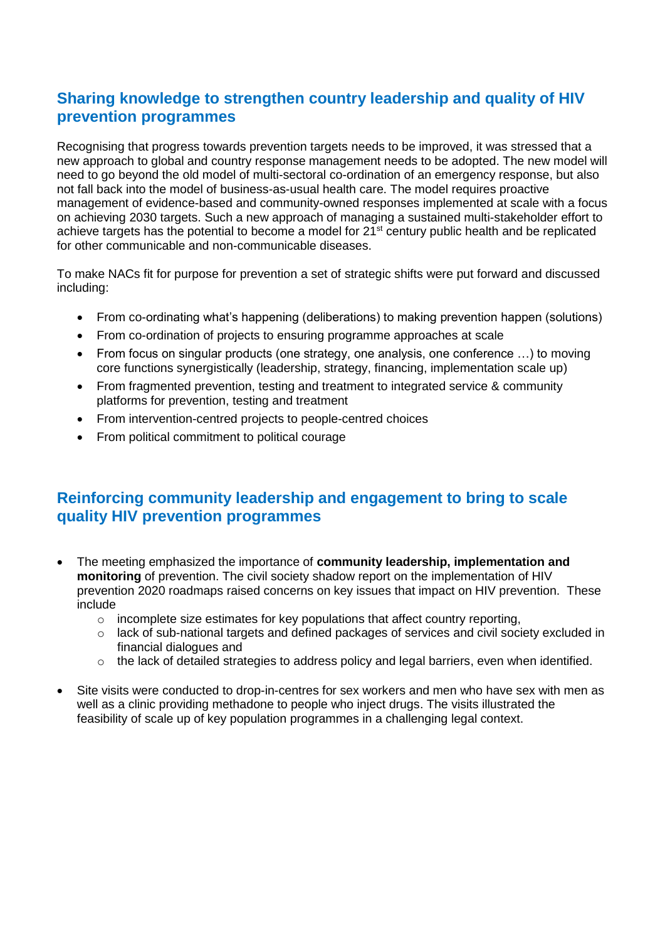### **Sharing knowledge to strengthen country leadership and quality of HIV prevention programmes**

Recognising that progress towards prevention targets needs to be improved, it was stressed that a new approach to global and country response management needs to be adopted. The new model will need to go beyond the old model of multi-sectoral co-ordination of an emergency response, but also not fall back into the model of business-as-usual health care. The model requires proactive management of evidence-based and community-owned responses implemented at scale with a focus on achieving 2030 targets. Such a new approach of managing a sustained multi-stakeholder effort to achieve targets has the potential to become a model for 21<sup>st</sup> century public health and be replicated for other communicable and non-communicable diseases.

To make NACs fit for purpose for prevention a set of strategic shifts were put forward and discussed including:

- From co-ordinating what's happening (deliberations) to making prevention happen (solutions)
- From co-ordination of projects to ensuring programme approaches at scale
- From focus on singular products (one strategy, one analysis, one conference …) to moving core functions synergistically (leadership, strategy, financing, implementation scale up)
- From fragmented prevention, testing and treatment to integrated service & community platforms for prevention, testing and treatment
- From intervention-centred projects to people-centred choices
- From political commitment to political courage

### **Reinforcing community leadership and engagement to bring to scale quality HIV prevention programmes**

- The meeting emphasized the importance of **community leadership, implementation and monitoring** of prevention. The civil society shadow report on the implementation of HIV prevention 2020 roadmaps raised concerns on key issues that impact on HIV prevention. These include
	- $\circ$  incomplete size estimates for key populations that affect country reporting,
	- o lack of sub-national targets and defined packages of services and civil society excluded in financial dialogues and
	- $\circ$  the lack of detailed strategies to address policy and legal barriers, even when identified.
- Site visits were conducted to drop-in-centres for sex workers and men who have sex with men as well as a clinic providing methadone to people who inject drugs. The visits illustrated the feasibility of scale up of key population programmes in a challenging legal context.